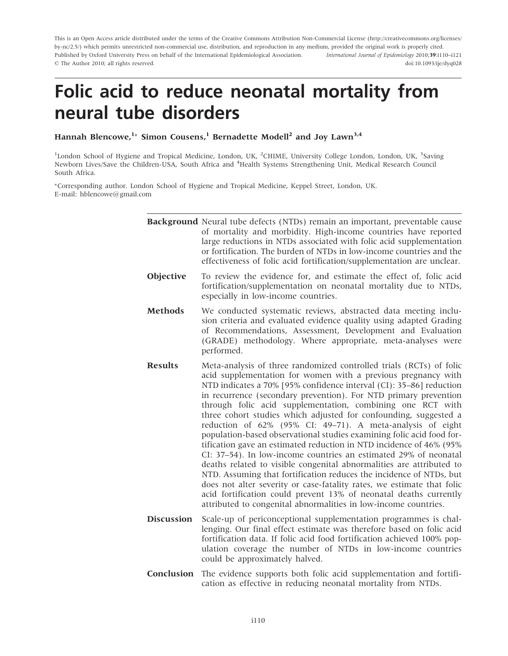This is an Open Access article distributed under the terms of the Creative Commons Attribution Non-Commercial License (<http://creativecommons.org/licenses/> by-nc/2.5/) which permits unrestricted non-commercial use, distribution, and reproduction in any medium, provided the original work is properly cited. Published by Oxford University Press on behalf of the International Epidemiological Association. © The Author 2010; all rights reserved. International Journal of Epidemiology 2010;39:i110–i121 doi:10.1093/ije/dyq028

# Folic acid to reduce neonatal mortality from neural tube disorders

Hannah Blencowe,  $^{1*}$  Simon Cousens,  $^{1}$  Bernadette Modell<sup>2</sup> and Joy Lawn<sup>3,4</sup>

<sup>1</sup>London School of Hygiene and Tropical Medicine, London, UK, <sup>2</sup>CHIME, University College London, London, UK, <sup>3</sup>Saving Newborn Lives/Save the Children-USA, South Africa and <sup>4</sup>Health Systems Strengthening Unit, Medical Research Council South Africa.

-Corresponding author. London School of Hygiene and Tropical Medicine, Keppel Street, London, UK. E-mail: hblencowe@gmail.com

|                | <b>Background</b> Neural tube defects (NTDs) remain an important, preventable cause<br>of mortality and morbidity. High-income countries have reported<br>large reductions in NTDs associated with folic acid supplementation<br>or fortification. The burden of NTDs in low-income countries and the<br>effectiveness of folic acid fortification/supplementation are unclear.                                                                                                                                                                                                                                                                                                                                                                                                                                                                                                                                                                                                                                                                                      |
|----------------|----------------------------------------------------------------------------------------------------------------------------------------------------------------------------------------------------------------------------------------------------------------------------------------------------------------------------------------------------------------------------------------------------------------------------------------------------------------------------------------------------------------------------------------------------------------------------------------------------------------------------------------------------------------------------------------------------------------------------------------------------------------------------------------------------------------------------------------------------------------------------------------------------------------------------------------------------------------------------------------------------------------------------------------------------------------------|
| Objective      | To review the evidence for, and estimate the effect of, folic acid<br>fortification/supplementation on neonatal mortality due to NTDs,<br>especially in low-income countries.                                                                                                                                                                                                                                                                                                                                                                                                                                                                                                                                                                                                                                                                                                                                                                                                                                                                                        |
| <b>Methods</b> | We conducted systematic reviews, abstracted data meeting inclu-<br>sion criteria and evaluated evidence quality using adapted Grading<br>of Recommendations, Assessment, Development and Evaluation<br>(GRADE) methodology. Where appropriate, meta-analyses were<br>performed.                                                                                                                                                                                                                                                                                                                                                                                                                                                                                                                                                                                                                                                                                                                                                                                      |
| <b>Results</b> | Meta-analysis of three randomized controlled trials (RCTs) of folic<br>acid supplementation for women with a previous pregnancy with<br>NTD indicates a 70% [95% confidence interval (CI): 35-86] reduction<br>in recurrence (secondary prevention). For NTD primary prevention<br>through folic acid supplementation, combining one RCT with<br>three cohort studies which adjusted for confounding, suggested a<br>reduction of 62% (95% CI: 49-71). A meta-analysis of eight<br>population-based observational studies examining folic acid food for-<br>tification gave an estimated reduction in NTD incidence of 46% (95%<br>CI: 37–54). In low-income countries an estimated 29% of neonatal<br>deaths related to visible congenital abnormalities are attributed to<br>NTD. Assuming that fortification reduces the incidence of NTDs, but<br>does not alter severity or case-fatality rates, we estimate that folic<br>acid fortification could prevent 13% of neonatal deaths currently<br>attributed to congenital abnormalities in low-income countries. |

- Discussion Scale-up of periconceptional supplementation programmes is challenging. Our final effect estimate was therefore based on folic acid fortification data. If folic acid food fortification achieved 100% population coverage the number of NTDs in low-income countries could be approximately halved.
- Conclusion The evidence supports both folic acid supplementation and fortification as effective in reducing neonatal mortality from NTDs.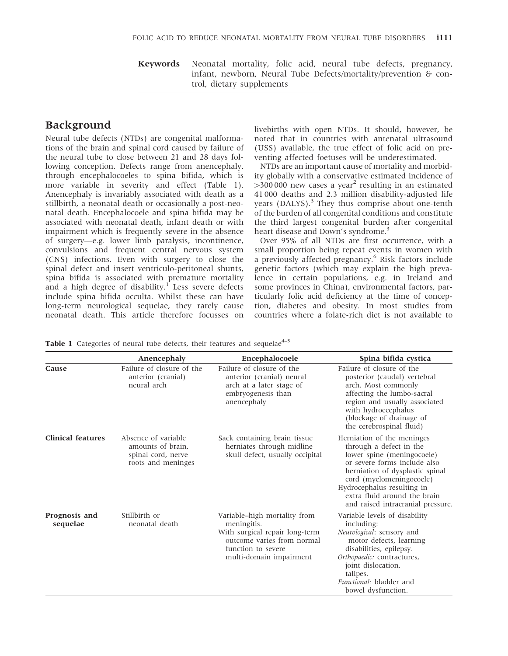Keywords Neonatal mortality, folic acid, neural tube defects, pregnancy, infant, newborn, Neural Tube Defects/mortality/prevention & control, dietary supplements

# **Background**

Neural tube defects (NTDs) are congenital malformations of the brain and spinal cord caused by failure of the neural tube to close between 21 and 28 days following conception. Defects range from anencephaly, through encephalocoeles to spina bifida, which is more variable in severity and effect (Table 1). Anencephaly is invariably associated with death as a stillbirth, a neonatal death or occasionally a post-neonatal death. Encephalocoele and spina bifida may be associated with neonatal death, infant death or with impairment which is frequently severe in the absence of surgery—e.g. lower limb paralysis, incontinence, convulsions and frequent central nervous system (CNS) infections. Even with surgery to close the spinal defect and insert ventriculo-peritoneal shunts, spina bifida is associated with premature mortality and a high degree of disability.<sup>1</sup> Less severe defects include spina bifida occulta. Whilst these can have long-term neurological sequelae, they rarely cause neonatal death. This article therefore focusses on livebirths with open NTDs. It should, however, be noted that in countries with antenatal ultrasound (USS) available, the true effect of folic acid on preventing affected foetuses will be underestimated.

NTDs are an important cause of mortality and morbidity globally with a conservative estimated incidence of  $>$ 300 000 new cases a year<sup>2</sup> resulting in an estimated 41 000 deaths and 2.3 million disability-adjusted life years  $(DALYS).$ <sup>3</sup> They thus comprise about one-tenth of the burden of all congenital conditions and constitute the third largest congenital burden after congenital heart disease and Down's syndrome.<sup>3</sup>

Over 95% of all NTDs are first occurrence, with a small proportion being repeat events in women with a previously affected pregnancy.<sup>6</sup> Risk factors include genetic factors (which may explain the high prevalence in certain populations, e.g. in Ireland and some provinces in China), environmental factors, particularly folic acid deficiency at the time of conception, diabetes and obesity. In most studies from countries where a folate-rich diet is not available to

|                           | Anencephaly                                                                          | Encephalocoele                                                                                                                                               | Spina bifida cystica                                                                                                                                                                                                                                                                  |
|---------------------------|--------------------------------------------------------------------------------------|--------------------------------------------------------------------------------------------------------------------------------------------------------------|---------------------------------------------------------------------------------------------------------------------------------------------------------------------------------------------------------------------------------------------------------------------------------------|
| Cause                     | Failure of closure of the<br>anterior (cranial)<br>neural arch                       | Failure of closure of the<br>anterior (cranial) neural<br>arch at a later stage of<br>embryogenesis than<br>anencephaly                                      | Failure of closure of the<br>posterior (caudal) vertebral<br>arch. Most commonly<br>affecting the lumbo-sacral<br>region and usually associated<br>with hydroecephalus<br>(blockage of drainage of<br>the cerebrospinal fluid)                                                        |
| <b>Clinical features</b>  | Absence of variable<br>amounts of brain,<br>spinal cord, nerve<br>roots and meninges | Sack containing brain tissue<br>herniates through midline<br>skull defect, usually occipital                                                                 | Herniation of the meninges<br>through a defect in the<br>lower spine (meningocoele)<br>or severe forms include also<br>herniation of dysplastic spinal<br>cord (myelomeningocoele)<br>Hydrocephalus resulting in<br>extra fluid around the brain<br>and raised intracranial pressure. |
| Prognosis and<br>sequelae | Stillbirth or<br>neonatal death                                                      | Variable–high mortality from<br>meningitis.<br>With surgical repair long-term<br>outcome varies from normal<br>function to severe<br>multi-domain impairment | Variable levels of disability<br>including:<br>Neurological: sensory and<br>motor defects, learning<br>disabilities, epilepsy.<br>Orthopaedic: contractures,<br>joint dislocation,<br>talipes.<br><i>Functional:</i> bladder and<br>bowel dysfunction.                                |

Table 1 Categories of neural tube defects, their features and sequelae $4-5$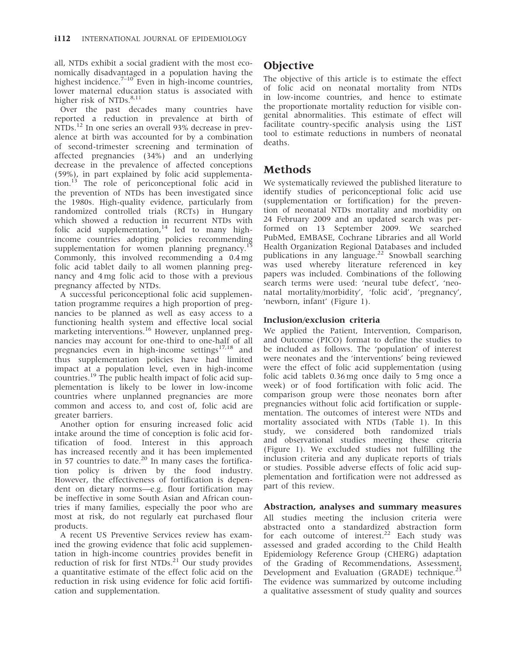all, NTDs exhibit a social gradient with the most economically disadvantaged in a population having the highest incidence. $7-10$  Even in high-income countries, lower maternal education status is associated with higher risk of NTDs.<sup>8,11</sup>

Over the past decades many countries have reported a reduction in prevalence at birth of NTDs.<sup>12</sup> In one series an overall 93% decrease in prevalence at birth was accounted for by a combination of second-trimester screening and termination of affected pregnancies (34%) and an underlying decrease in the prevalence of affected conceptions (59%), in part explained by folic acid supplementa-<br>tion.<sup>13</sup> The role of periconceptional folic acid in The role of periconceptional folic acid in the prevention of NTDs has been investigated since the 1980s. High-quality evidence, particularly from randomized controlled trials (RCTs) in Hungary which showed a reduction in recurrent NTDs with folic acid supplementation, $14$  led to many highincome countries adopting policies recommending supplementation for women planning pregnancy.<sup>15</sup> Commonly, this involved recommending a 0.4 mg folic acid tablet daily to all women planning pregnancy and 4 mg folic acid to those with a previous pregnancy affected by NTDs.

A successful periconceptional folic acid supplementation programme requires a high proportion of pregnancies to be planned as well as easy access to a functioning health system and effective local social marketing interventions.<sup>16</sup> However, unplanned pregnancies may account for one-third to one-half of all pregnancies even in high-income settings $17,18$  and thus supplementation policies have had limited impact at a population level, even in high-income countries.<sup>19</sup> The public health impact of folic acid supplementation is likely to be lower in low-income countries where unplanned pregnancies are more common and access to, and cost of, folic acid are greater barriers.

Another option for ensuring increased folic acid intake around the time of conception is folic acid fortification of food. Interest in this approach has increased recently and it has been implemented in 57 countries to date.<sup>20</sup> In many cases the fortification policy is driven by the food industry. However, the effectiveness of fortification is dependent on dietary norms—e.g. flour fortification may be ineffective in some South Asian and African countries if many families, especially the poor who are most at risk, do not regularly eat purchased flour products.

A recent US Preventive Services review has examined the growing evidence that folic acid supplementation in high-income countries provides benefit in reduction of risk for first NTDs.<sup>21</sup> Our study provides a quantitative estimate of the effect folic acid on the reduction in risk using evidence for folic acid fortification and supplementation.

# **Objective**

The objective of this article is to estimate the effect of folic acid on neonatal mortality from NTDs in low-income countries, and hence to estimate the proportionate mortality reduction for visible congenital abnormalities. This estimate of effect will facilitate country-specific analysis using the LiST tool to estimate reductions in numbers of neonatal deaths.

# Methods

We systematically reviewed the published literature to identify studies of periconceptional folic acid use (supplementation or fortification) for the prevention of neonatal NTDs mortality and morbidity on 24 February 2009 and an updated search was performed on 13 September 2009. We searched PubMed, EMBASE, Cochrane Libraries and all World Health Organization Regional Databases and included publications in any language. $22$  Snowball searching was used whereby literature referenced in key papers was included. Combinations of the following search terms were used: 'neural tube defect', 'neonatal mortality/morbidity', 'folic acid', 'pregnancy', 'newborn, infant' (Figure 1).

### Inclusion/exclusion criteria

We applied the Patient, Intervention, Comparison, and Outcome (PICO) format to define the studies to be included as follows. The 'population' of interest were neonates and the 'interventions' being reviewed were the effect of folic acid supplementation (using folic acid tablets 0.36 mg once daily to 5 mg once a week) or of food fortification with folic acid. The comparison group were those neonates born after pregnancies without folic acid fortification or supplementation. The outcomes of interest were NTDs and mortality associated with NTDs (Table 1). In this study, we considered both randomized trials and observational studies meeting these criteria (Figure 1). We excluded studies not fulfilling the inclusion criteria and any duplicate reports of trials or studies. Possible adverse effects of folic acid supplementation and fortification were not addressed as part of this review.

### Abstraction, analyses and summary measures

All studies meeting the inclusion criteria were abstracted onto a standardized abstraction form for each outcome of interest.<sup>22</sup> Each study was assessed and graded according to the Child Health Epidemiology Reference Group (CHERG) adaptation of the Grading of Recommendations, Assessment, Development and Evaluation (GRADE) technique.<sup>23</sup> The evidence was summarized by outcome including a qualitative assessment of study quality and sources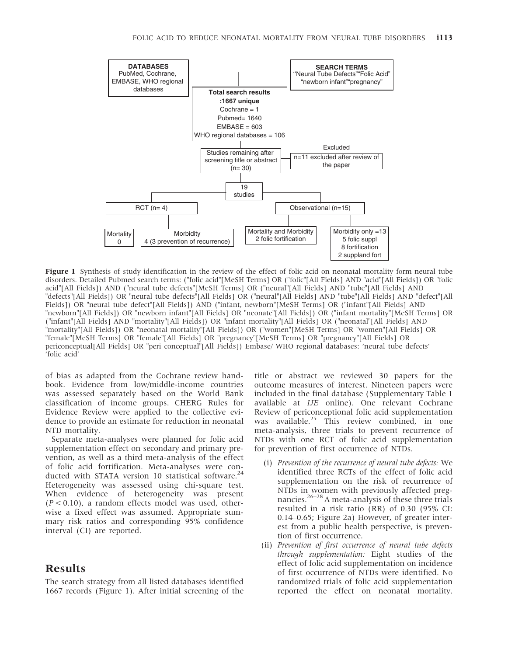

Figure 1 Synthesis of study identification in the review of the effect of folic acid on neonatal mortality form neural tube disorders. Detailed Pubmed search terms: ("folic acid"[MeSH Terms] OR ("folic"[All Fields] AND "acid"[All Fields]) OR "folic acid"[All Fields]) AND ("neural tube defects"[MeSH Terms] OR ("neural"[All Fields] AND "tube"[All Fields] AND "defects"[All Fields]) OR "neural tube defects"[All Fields] OR ("neural"[All Fields] AND "tube"[All Fields] AND "defect"[All Fields]) OR "neural tube defect"[All Fields]) AND ("infant, newborn"[MeSH Terms] OR ("infant"[All Fields] AND "newborn"[All Fields]) OR "newborn infant"[All Fields] OR "neonate"[All Fields]) OR ("infant mortality"[MeSH Terms] OR ("infant"[All Fields] AND "mortality"[All Fields]) OR "infant mortality"[All Fields] OR ("neonatal"[All Fields] AND "mortality"[All Fields]) OR "neonatal mortality"[All Fields]) OR ("women"[MeSH Terms] OR "women"[All Fields] OR "female"[MeSH Terms] OR "female"[All Fields] OR "pregnancy"[MeSH Terms] OR "pregnancy"[All Fields] OR periconceptual[All Fields] OR "peri conceptual"[All Fields]) Embase/ WHO regional databases: 'neural tube defects' 'folic acid'

of bias as adapted from the Cochrane review handbook. Evidence from low/middle-income countries was assessed separately based on the World Bank classification of income groups. CHERG Rules for Evidence Review were applied to the collective evidence to provide an estimate for reduction in neonatal NTD mortality.

Separate meta-analyses were planned for folic acid supplementation effect on secondary and primary prevention, as well as a third meta-analysis of the effect of folic acid fortification. Meta-analyses were conducted with STATA version 10 statistical software.<sup>24</sup> Heterogeneity was assessed using chi-square test. When evidence of heterogeneity was present  $(P < 0.10)$ , a random effects model was used, otherwise a fixed effect was assumed. Appropriate summary risk ratios and corresponding 95% confidence interval (CI) are reported.

### Results

The search strategy from all listed databases identified 1667 records (Figure 1). After initial screening of the

title or abstract we reviewed 30 papers for the outcome measures of interest. Nineteen papers were included in the final database (Supplementary Table 1 available at IJE online). One relevant Cochrane Review of periconceptional folic acid supplementation was available.<sup>25</sup> This review combined, in one meta-analysis, three trials to prevent recurrence of NTDs with one RCT of folic acid supplementation for prevention of first occurrence of NTDs.

- (i) Prevention of the recurrence of neural tube defects: We identified three RCTs of the effect of folic acid supplementation on the risk of recurrence of NTDs in women with previously affected pregnancies.26–28A meta-analysis of these three trials resulted in a risk ratio (RR) of 0.30 (95% CI: 0.14–0.65; Figure 2a) However, of greater interest from a public health perspective, is prevention of first occurrence.
- (ii) Prevention of first occurrence of neural tube defects through supplementation: Eight studies of the effect of folic acid supplementation on incidence of first occurrence of NTDs were identified. No randomized trials of folic acid supplementation reported the effect on neonatal mortality.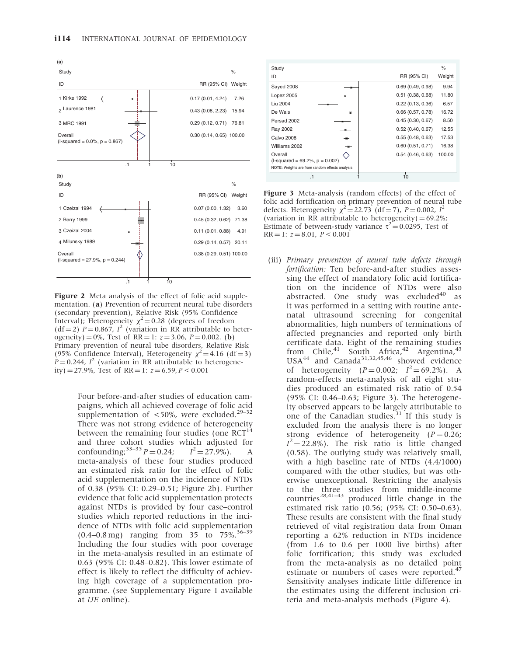



Figure 2 Meta analysis of the effect of folic acid supplementation. (a) Prevention of recurrent neural tube disorders (secondary prevention), Relative Risk (95% Confidence Interval); Heterogeneity  $\chi^2$  = 0.28 (degrees of freedom  $(df=2)$   $P=0.867$ ,  $I^2$  (variation in RR attributable to heterogeneity) = 0%, Test of RR = 1:  $z = 3.06$ ,  $P = 0.002$ . (**b**) Primary prevention of neural tube disorders, Relative Risk (95% Confidence Interval), Heterogeneity  $\chi^2$  = 4.16 (df = 3)  $P = 0.244$ ,  $I^2$  (variation in RR attributable to heterogeneity) = 27.9%, Test of RR = 1:  $z = 6.59$ ,  $P < 0.001$ 

Four before-and-after studies of education campaigns, which all achieved coverage of folic acid supplementation of  $<$ 50%, were excluded.<sup>29-32</sup> There was not strong evidence of heterogeneity between the remaining four studies (one RCT<sup>14</sup> and three cohort studies which adjusted for confounding;  $33-35 P = 0.24$ ;  $I^2 = 27.9\%$ ). A meta-analysis of these four studies produced an estimated risk ratio for the effect of folic acid supplementation on the incidence of NTDs of 0.38 (95% CI: 0.29–0.51; Figure 2b). Further evidence that folic acid supplementation protects against NTDs is provided by four case–control studies which reported reductions in the incidence of NTDs with folic acid supplementation  $(0.4-0.8 \,\text{mg})$  ranging from 35 to 75%.<sup>36-39</sup> Including the four studies with poor coverage in the meta-analysis resulted in an estimate of 0.63 (95% CI: 0.48–0.82). This lower estimate of effect is likely to reflect the difficulty of achieving high coverage of a supplementation programme. (see Supplementary Figure 1 available at IJE online).



Figure 3 Meta-analysis (random effects) of the effect of folic acid fortification on primary prevention of neural tube defects. Heterogeneity  $\chi^2 = 22.73 \text{ (df} = 7)$ ,  $P = 0.002$ ,  $I^2$ (variation in RR attributable to heterogeneity)  $= 69.2\%$ ; Estimate of between-study variance  $\tau^2 = 0.0295$ , Test of  $RR = 1: z = 8.01, P < 0.001$ 

(iii) Primary prevention of neural tube defects through fortification: Ten before-and-after studies assessing the effect of mandatory folic acid fortification on the incidence of NTDs were also abstracted. One study was excluded<sup>40</sup> as it was performed in a setting with routine antenatal ultrasound screening for congenital abnormalities, high numbers of terminations of affected pregnancies and reported only birth certificate data. Eight of the remaining studies from Chile, $41$  South Africa, $42$  Argentina, $43$  $USA<sup>44</sup>$  and Canada<sup>31,32,45,46</sup> showed evidence of heterogeneity  $(P = 0.002; I^2 = 69.2\%)$ . A random-effects meta-analysis of all eight studies produced an estimated risk ratio of 0.54 (95% CI: 0.46–0.63; Figure 3). The heterogeneity observed appears to be largely attributable to one of the Canadian studies.<sup>31</sup> If this study is excluded from the analysis there is no longer strong evidence of heterogeneity  $(P=0.26)$ ;  $I^2 = 22.8\%$ ). The risk ratio is little changed (0.58). The outlying study was relatively small, with a high baseline rate of NTDs (4.4/1000) compared with the other studies, but was otherwise unexceptional. Restricting the analysis to the three studies from middle-income countries<sup>28,41–43</sup> produced little change in the estimated risk ratio (0.56; (95% CI: 0.50–0.63). These results are consistent with the final study retrieved of vital registration data from Oman reporting a 62% reduction in NTDs incidence (from 1.6 to 0.6 per 1000 live births) after folic fortification; this study was excluded from the meta-analysis as no detailed point estimate or numbers of cases were reported.<sup>47</sup> Sensitivity analyses indicate little difference in the estimates using the different inclusion criteria and meta-analysis methods (Figure 4).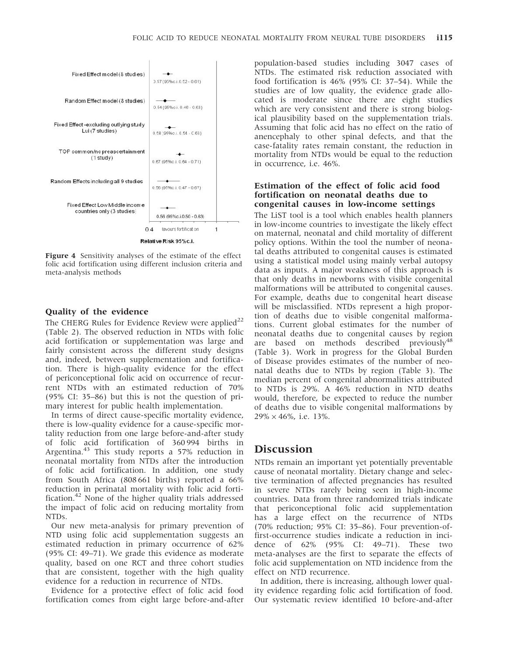

Figure 4 Sensitivity analyses of the estimate of the effect folic acid fortification using different inclusion criteria and meta-analysis methods

#### Quality of the evidence

The CHERG Rules for Evidence Review were applied<sup>22</sup> (Table 2). The observed reduction in NTDs with folic acid fortification or supplementation was large and fairly consistent across the different study designs and, indeed, between supplementation and fortification. There is high-quality evidence for the effect of periconceptional folic acid on occurrence of recurrent NTDs with an estimated reduction of 70% (95% CI: 35–86) but this is not the question of primary interest for public health implementation.

In terms of direct cause-specific mortality evidence, there is low-quality evidence for a cause-specific mortality reduction from one large before-and-after study of folic acid fortification of 360 994 births in Argentina.<sup>43</sup> This study reports a 57% reduction in neonatal mortality from NTDs after the introduction of folic acid fortification. In addition, one study from South Africa (808 661 births) reported a 66% reduction in perinatal mortality with folic acid fortification.<sup>42</sup> None of the higher quality trials addressed the impact of folic acid on reducing mortality from NTDs.

Our new meta-analysis for primary prevention of NTD using folic acid supplementation suggests an estimated reduction in primary occurrence of 62% (95% CI: 49–71). We grade this evidence as moderate quality, based on one RCT and three cohort studies that are consistent, together with the high quality evidence for a reduction in recurrence of NTDs.

Evidence for a protective effect of folic acid food fortification comes from eight large before-and-after population-based studies including 3047 cases of NTDs. The estimated risk reduction associated with food fortification is 46% (95% CI: 37–54). While the studies are of low quality, the evidence grade allocated is moderate since there are eight studies which are very consistent and there is strong biological plausibility based on the supplementation trials. Assuming that folic acid has no effect on the ratio of anencephaly to other spinal defects, and that the case-fatality rates remain constant, the reduction in mortality from NTDs would be equal to the reduction in occurrence, i.e. 46%.

#### Estimation of the effect of folic acid food fortification on neonatal deaths due to congenital causes in low-income settings

The LiST tool is a tool which enables health planners in low-income countries to investigate the likely effect on maternal, neonatal and child mortality of different policy options. Within the tool the number of neonatal deaths attributed to congenital causes is estimated using a statistical model using mainly verbal autopsy data as inputs. A major weakness of this approach is that only deaths in newborns with visible congenital malformations will be attributed to congenital causes. For example, deaths due to congenital heart disease will be misclassified. NTDs represent a high proportion of deaths due to visible congenital malformations. Current global estimates for the number of neonatal deaths due to congenital causes by region based on methods described previously<sup>48</sup> (Table 3). Work in progress for the Global Burden of Disease provides estimates of the number of neonatal deaths due to NTDs by region (Table 3). The median percent of congenital abnormalities attributed to NTDs is 29%. A 46% reduction in NTD deaths would, therefore, be expected to reduce the number of deaths due to visible congenital malformations by  $29\% \times 46\%$ , i.e. 13%.

### Discussion

NTDs remain an important yet potentially preventable cause of neonatal mortality. Dietary change and selective termination of affected pregnancies has resulted in severe NTDs rarely being seen in high-income countries. Data from three randomized trials indicate that periconceptional folic acid supplementation has a large effect on the recurrence of NTDs (70% reduction; 95% CI: 35–86). Four prevention-offirst-occurrence studies indicate a reduction in incidence of 62% (95% CI: 49–71). These two meta-analyses are the first to separate the effects of folic acid supplementation on NTD incidence from the effect on NTD recurrence.

In addition, there is increasing, although lower quality evidence regarding folic acid fortification of food. Our systematic review identified 10 before-and-after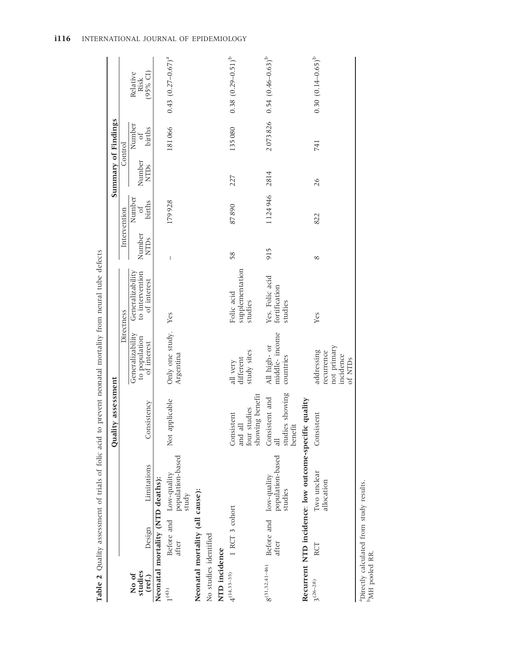| 1124946 2814<br>26<br>Number<br>179928<br>births<br>87890<br>$\sigma$<br>Intervention<br>822<br>Number<br><b>NTDs</b><br>915<br>58<br>I<br>∞<br>supplementation<br>Generalizability<br>to intervention<br>Yes. Folic acid<br>of interest<br>fortification<br>Folic acid<br>studies<br>studies<br>Directness<br>Only one study. Yes<br>Yes<br>middle-income<br>Generalizability<br>to population<br>of interest<br>All high- or<br>not primary<br>study sites<br>addressing<br>recurrence<br>Argentina<br>incidence<br>countries<br>different<br>all very<br>assessment<br>studies showing<br>showing benefit<br>Consistent and<br>quality<br>Not applicable<br>Consistency<br>four studies<br>Consistent<br>Consistent<br>Quality<br>and all<br>benefit<br>Recurrent NTD incidence: low outcome-specific<br>Before and Low-quality<br>after population-based<br>low-quality<br>population-based<br>Limitations<br>Two unclear<br>Neonatal mortality (NTD deaths):<br>allocation<br>Neonatal mortality (all cause):<br>studies<br>study<br>1 RCT 3 cohort<br>Before and<br>Design<br>No studies identified<br>after<br>RCT<br>NTD incidence<br>$8^{(31,32,41-46)}$<br>$4^{(14,33-35)}$<br>studies<br>No of<br>(ref.)<br>$3^{(26-28)}$<br>1(43) |  |  |  |  |                       |                              |                                         |
|-----------------------------------------------------------------------------------------------------------------------------------------------------------------------------------------------------------------------------------------------------------------------------------------------------------------------------------------------------------------------------------------------------------------------------------------------------------------------------------------------------------------------------------------------------------------------------------------------------------------------------------------------------------------------------------------------------------------------------------------------------------------------------------------------------------------------------------------------------------------------------------------------------------------------------------------------------------------------------------------------------------------------------------------------------------------------------------------------------------------------------------------------------------------------------------------------------------------------------------------------|--|--|--|--|-----------------------|------------------------------|-----------------------------------------|
|                                                                                                                                                                                                                                                                                                                                                                                                                                                                                                                                                                                                                                                                                                                                                                                                                                                                                                                                                                                                                                                                                                                                                                                                                                               |  |  |  |  | Summary of Findings   |                              |                                         |
|                                                                                                                                                                                                                                                                                                                                                                                                                                                                                                                                                                                                                                                                                                                                                                                                                                                                                                                                                                                                                                                                                                                                                                                                                                               |  |  |  |  | Control               |                              |                                         |
|                                                                                                                                                                                                                                                                                                                                                                                                                                                                                                                                                                                                                                                                                                                                                                                                                                                                                                                                                                                                                                                                                                                                                                                                                                               |  |  |  |  | Number<br><b>NTDS</b> | Number<br>births<br>$\sigma$ | $(95\% \text{ CI})$<br>Relative<br>Risk |
|                                                                                                                                                                                                                                                                                                                                                                                                                                                                                                                                                                                                                                                                                                                                                                                                                                                                                                                                                                                                                                                                                                                                                                                                                                               |  |  |  |  |                       |                              |                                         |
|                                                                                                                                                                                                                                                                                                                                                                                                                                                                                                                                                                                                                                                                                                                                                                                                                                                                                                                                                                                                                                                                                                                                                                                                                                               |  |  |  |  |                       | 181066                       | $0.43$ $(0.27 - 0.67)^a$                |
|                                                                                                                                                                                                                                                                                                                                                                                                                                                                                                                                                                                                                                                                                                                                                                                                                                                                                                                                                                                                                                                                                                                                                                                                                                               |  |  |  |  |                       |                              |                                         |
|                                                                                                                                                                                                                                                                                                                                                                                                                                                                                                                                                                                                                                                                                                                                                                                                                                                                                                                                                                                                                                                                                                                                                                                                                                               |  |  |  |  |                       |                              |                                         |
|                                                                                                                                                                                                                                                                                                                                                                                                                                                                                                                                                                                                                                                                                                                                                                                                                                                                                                                                                                                                                                                                                                                                                                                                                                               |  |  |  |  |                       |                              |                                         |
|                                                                                                                                                                                                                                                                                                                                                                                                                                                                                                                                                                                                                                                                                                                                                                                                                                                                                                                                                                                                                                                                                                                                                                                                                                               |  |  |  |  | 227                   | 135080                       | $0.38$ $(0.29-0.51)^b$                  |
|                                                                                                                                                                                                                                                                                                                                                                                                                                                                                                                                                                                                                                                                                                                                                                                                                                                                                                                                                                                                                                                                                                                                                                                                                                               |  |  |  |  |                       |                              | $2073826$ 0.54 $(0.46-0.63)^b$          |
|                                                                                                                                                                                                                                                                                                                                                                                                                                                                                                                                                                                                                                                                                                                                                                                                                                                                                                                                                                                                                                                                                                                                                                                                                                               |  |  |  |  |                       |                              |                                         |
| of NTD <sub>s</sub>                                                                                                                                                                                                                                                                                                                                                                                                                                                                                                                                                                                                                                                                                                                                                                                                                                                                                                                                                                                                                                                                                                                                                                                                                           |  |  |  |  |                       | 741                          | $0.30(0.14-0.65)^{b}$                   |

Table 2 Quality assessment of trials of folic acid to prevent neonatal mortality from neural tube defects Table 2 Quality assessment of trials of folic acid to prevent neonatal mortality from neural tube defects

 $^{\rm a}$  Directly calculated from study results.  $^{\rm b}$  MH pooled RR. aDirectly calculated from study results. bMH pooled RR.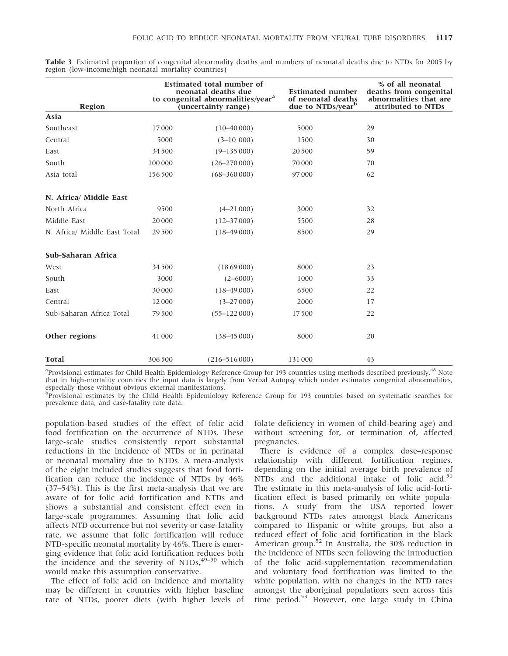| Region                       | Estimated total number of<br>neonatal deaths due<br>to congenital abnormalities/year <sup>a</sup><br>(uncertainty range) |                  | <b>Estimated number</b><br>of neonatal deaths<br>due to NTDs/year <sup>b</sup> | % of all neonatal<br>deaths from congenital<br>abnormalities that are<br>attributed to NTDs |
|------------------------------|--------------------------------------------------------------------------------------------------------------------------|------------------|--------------------------------------------------------------------------------|---------------------------------------------------------------------------------------------|
| Asia                         |                                                                                                                          |                  |                                                                                |                                                                                             |
| Southeast                    | 17000                                                                                                                    | $(10 - 40000)$   | 5000                                                                           | 29                                                                                          |
| Central                      | 5000                                                                                                                     | $(3-10000)$      | 1500                                                                           | 30                                                                                          |
| East                         | 34500                                                                                                                    | $(9 - 135000)$   | 20500                                                                          | 59                                                                                          |
| South                        | 100 000                                                                                                                  | $(26 - 270000)$  | 70 000                                                                         | 70                                                                                          |
| Asia total                   | 156500                                                                                                                   | $(68 - 360000)$  | 97000                                                                          | 62                                                                                          |
| N. Africa/ Middle East       |                                                                                                                          |                  |                                                                                |                                                                                             |
| North Africa                 | 9500                                                                                                                     | $(4 - 21000)$    | 3000                                                                           | 32                                                                                          |
| Middle East                  | 20 000                                                                                                                   | $(12 - 37000)$   | 5500                                                                           | 28                                                                                          |
| N. Africa/ Middle East Total | 29 500                                                                                                                   | $(18 - 49000)$   | 8500                                                                           | 29                                                                                          |
| Sub-Saharan Africa           |                                                                                                                          |                  |                                                                                |                                                                                             |
| West                         | 34500                                                                                                                    | (1869000)        | 8000                                                                           | 23                                                                                          |
| South                        | 3000                                                                                                                     | $(2 - 6000)$     | 1000                                                                           | 33                                                                                          |
| East                         | 30000                                                                                                                    | $(18 - 49000)$   | 6500                                                                           | 22                                                                                          |
| Central                      | 12000                                                                                                                    | $(3 - 27000)$    | 2000                                                                           | 17                                                                                          |
| Sub-Saharan Africa Total     | 79500                                                                                                                    | $(55 - 122000)$  | 17500                                                                          | 22                                                                                          |
| Other regions                | 41 000                                                                                                                   | $(38 - 45000)$   | 8000                                                                           | 20                                                                                          |
| <b>Total</b>                 | 306500                                                                                                                   | $(216 - 516000)$ | 131000                                                                         | 43                                                                                          |

Table 3 Estimated proportion of congenital abnormality deaths and numbers of neonatal deaths due to NTDs for 2005 by region (low-income/high neonatal mortality countries)

<sup>a</sup> Provisional estimates for Child Health Epidemiology Reference Group for 193 countries using methods described previously.<sup>48</sup> Note that in high-mortality countries the input data is largely from Verbal Autopsy which under estimates congenital abnormalities, especially those without obvious external manifestations.

<sup>b</sup>Provisional estimates by the Child Health Epidemiology Reference Group for 193 countries based on systematic searches for prevalence data, and case-fatality rate data.

population-based studies of the effect of folic acid food fortification on the occurrence of NTDs. These large-scale studies consistently report substantial reductions in the incidence of NTDs or in perinatal or neonatal mortality due to NTDs. A meta-analysis of the eight included studies suggests that food fortification can reduce the incidence of NTDs by 46% (37–54%). This is the first meta-analysis that we are aware of for folic acid fortification and NTDs and shows a substantial and consistent effect even in large-scale programmes. Assuming that folic acid affects NTD occurrence but not severity or case-fatality rate, we assume that folic fortification will reduce NTD-specific neonatal mortality by 46%. There is emerging evidence that folic acid fortification reduces both the incidence and the severity of NTDs,<sup>49-50</sup> which would make this assumption conservative.

The effect of folic acid on incidence and mortality may be different in countries with higher baseline rate of NTDs, poorer diets (with higher levels of

folate deficiency in women of child-bearing age) and without screening for, or termination of, affected pregnancies.

There is evidence of a complex dose–response relationship with different fortification regimes, depending on the initial average birth prevalence of NTDs and the additional intake of folic acid. $51$ The estimate in this meta-analysis of folic acid-fortification effect is based primarily on white populations. A study from the USA reported lower background NTDs rates amongst black Americans compared to Hispanic or white groups, but also a reduced effect of folic acid fortification in the black American group.<sup>52</sup> In Australia, the 30% reduction in the incidence of NTDs seen following the introduction of the folic acid-supplementation recommendation and voluntary food fortification was limited to the white population, with no changes in the NTD rates amongst the aboriginal populations seen across this time period.<sup>53</sup> However, one large study in China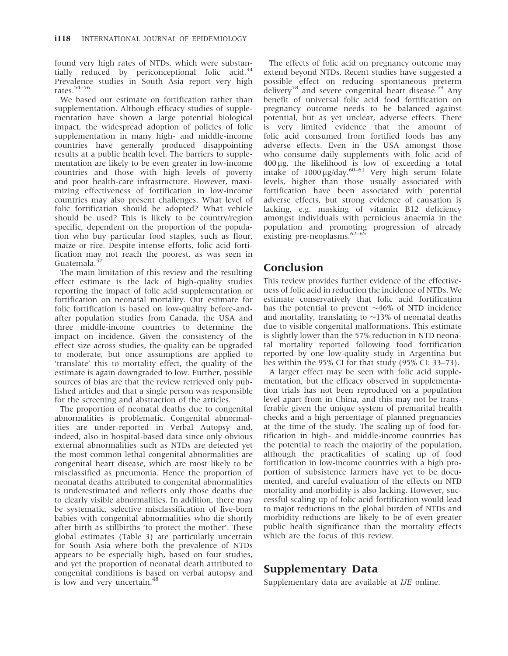found very high rates of NTDs, which were substantially reduced by periconceptional folic acid.<sup>34</sup> Prevalence studies in South Asia report very high rates.54–56

We based our estimate on fortification rather than supplementation. Although efficacy studies of supplementation have shown a large potential biological impact, the widespread adoption of policies of folic supplementation in many high- and middle-income countries have generally produced disappointing results at a public health level. The barriers to supplementation are likely to be even greater in low-income countries and those with high levels of poverty and poor health-care infrastructure. However, maximizing effectiveness of fortification in low-income countries may also present challenges. What level of folic fortification should be adopted? What vehicle should be used? This is likely to be country/region specific, dependent on the proportion of the population who buy particular food staples, such as flour, maize or rice. Despite intense efforts, folic acid fortification may not reach the poorest, as was seen in Guatemala.<sup>5</sup>

The main limitation of this review and the resulting effect estimate is the lack of high-quality studies reporting the impact of folic acid supplementation or fortification on neonatal mortality. Our estimate for folic fortification is based on low-quality before-andafter population studies from Canada, the USA and three middle-income countries to determine the impact on incidence. Given the consistency of the effect size across studies, the quality can be upgraded to moderate, but once assumptions are applied to 'translate' this to mortality effect, the quality of the estimate is again downgraded to low. Further, possible sources of bias are that the review retrieved only published articles and that a single person was responsible for the screening and abstraction of the articles.

The proportion of neonatal deaths due to congenital abnormalities is problematic. Congenital abnormalities are under-reported in Verbal Autopsy and, indeed, also in hospital-based data since only obvious external abnormalities such as NTDs are detected yet the most common lethal congenital abnormalities are congenital heart disease, which are most likely to be misclassified as pneumonia. Hence the proportion of neonatal deaths attributed to congenital abnormalities is underestimated and reflects only those deaths due to clearly visible abnormalities. In addition, there may be systematic, selective misclassification of live-born babies with congenital abnormalities who die shortly after birth as stillbirths 'to protect the mother'. These global estimates (Table 3) are particularly uncertain for South Asia where both the prevalence of NTDs appears to be especially high, based on four studies, and yet the proportion of neonatal death attributed to congenital conditions is based on verbal autopsy and is low and very uncertain.<sup>48</sup>

The effects of folic acid on pregnancy outcome may extend beyond NTDs. Recent studies have suggested a possible effect on reducing spontaneous preterm delivery<sup>58</sup> and severe congenital heart disease.<sup>59</sup> Any benefit of universal folic acid food fortification on pregnancy outcome needs to be balanced against potential, but as yet unclear, adverse effects. There is very limited evidence that the amount of folic acid consumed from fortified foods has any adverse effects. Even in the USA amongst those who consume daily supplements with folic acid of  $400 \mu g$ , the likelihood is low of exceeding a total intake of  $1000 \mu$ g/day.<sup>60–61</sup> Very high serum folate levels, higher than those usually associated with fortification have been associated with potential adverse effects, but strong evidence of causation is lacking, e.g. masking of vitamin B12 deficiency amongst individuals with pernicious anaemia in the population and promoting progression of already existing pre-neoplasms.<sup>62-65</sup>

# Conclusion

This review provides further evidence of the effectiveness of folic acid in reduction the incidence of NTDs. We estimate conservatively that folic acid fortification has the potential to prevent  $\sim$ 46% of NTD incidence and mortality, translating to  $\sim$ 13% of neonatal deaths due to visible congenital malformations. This estimate is slightly lower than the 57% reduction in NTD neonatal mortality reported following food fortification reported by one low-quality study in Argentina but lies within the 95% CI for that study (95% CI: 33–73).

A larger effect may be seen with folic acid supplementation, but the efficacy observed in supplementation trials has not been reproduced on a population level apart from in China, and this may not be transferable given the unique system of premarital health checks and a high percentage of planned pregnancies at the time of the study. The scaling up of food fortification in high- and middle-income countries has the potential to reach the majority of the population, although the practicalities of scaling up of food fortification in low-income countries with a high proportion of subsistence farmers have yet to be documented, and careful evaluation of the effects on NTD mortality and morbidity is also lacking. However, successful scaling up of folic acid fortification would lead to major reductions in the global burden of NTDs and morbidity reductions are likely to be of even greater public health significance than the mortality effects which are the focus of this review.

## Supplementary Data

Supplementary data are available at IJE online.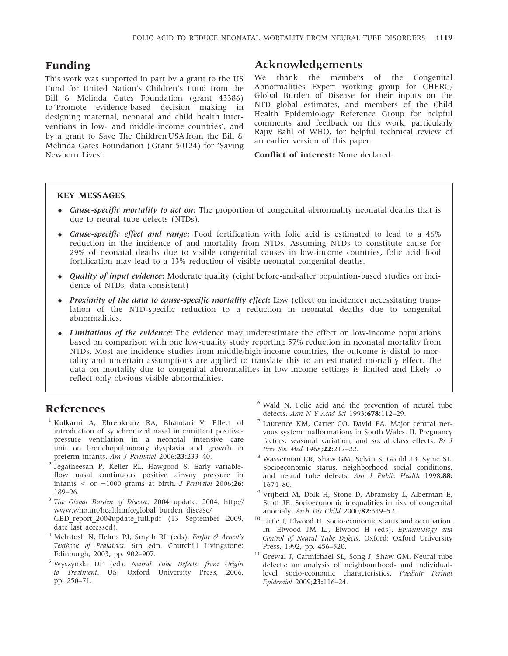### Funding

This work was supported in part by a grant to the US Fund for United Nation's Children's Fund from the Bill & Melinda Gates Foundation (grant 43386) to 'Promote evidence-based decision making in designing maternal, neonatal and child health interventions in low- and middle-income countries', and by a grant to Save The Children USA from the Bill & Melinda Gates Foundation ( Grant 50124) for 'Saving Newborn Lives'.

### Acknowledgements

We thank the members of the Congenital Abnormalities Expert working group for CHERG/ Global Burden of Disease for their inputs on the NTD global estimates, and members of the Child Health Epidemiology Reference Group for helpful comments and feedback on this work, particularly Rajiv Bahl of WHO, for helpful technical review of an earlier version of this paper.

Conflict of interest: None declared.

#### KEY MESSAGES

- *Cause-specific mortality to act on*: The proportion of congenital abnormality neonatal deaths that is due to neural tube defects (NTDs).
- Cause-specific effect and range: Food fortification with folic acid is estimated to lead to a 46% reduction in the incidence of and mortality from NTDs. Assuming NTDs to constitute cause for 29% of neonatal deaths due to visible congenital causes in low-income countries, folic acid food fortification may lead to a 13% reduction of visible neonatal congenital deaths.
- *Quality of input evidence*: Moderate quality (eight before-and-after population-based studies on incidence of NTDs, data consistent)
- Proximity of the data to cause-specific mortality effect: Low (effect on incidence) necessitating translation of the NTD-specific reduction to a reduction in neonatal deaths due to congenital abnormalities.
- Limitations of the evidence: The evidence may underestimate the effect on low-income populations based on comparison with one low-quality study reporting 57% reduction in neonatal mortality from NTDs. Most are incidence studies from middle/high-income countries, the outcome is distal to mortality and uncertain assumptions are applied to translate this to an estimated mortality effect. The data on mortality due to congenital abnormalities in low-income settings is limited and likely to reflect only obvious visible abnormalities.

# References

- <sup>1</sup> Kulkarni A, Ehrenkranz RA, Bhandari V. Effect of introduction of synchronized nasal intermittent positivepressure ventilation in a neonatal intensive care unit on bronchopulmonary dysplasia and growth in preterm infants. Am J Perinatol 2006;23:233–40.
- <sup>2</sup> Jegatheesan P, Keller RL, Hawgood S. Early variableflow nasal continuous positive airway pressure in infants  $\langle$  or =1000 grams at birth. *J Perinatol* 2006;26: 189–96.
- <sup>3</sup> The Global Burden of Disease. 2004 update. 2004.<http://> www.who.int/healthinfo/global\_burden\_disease/ GBD report 2004update full.pdf (13 September 2009, date last accessed).
- $4$  McIntosh N, Helms PJ, Smyth RL (eds). Forfar  $\mathcal O$  Arneil's Textbook of Pediatrics. 6th edn. Churchill Livingstone: Edinburgh, 2003, pp. 902–907.
- <sup>5</sup> Wyszynski DF (ed). Neural Tube Defects: from Origin to Treatment. US: Oxford University Press, 2006, pp. 250–71.
- <sup>6</sup> Wald N. Folic acid and the prevention of neural tube defects. Ann N Y Acad Sci 1993;678:112–29.
- <sup>7</sup> Laurence KM, Carter CO, David PA. Major central nervous system malformations in South Wales. II. Pregnancy factors, seasonal variation, and social class effects. Br J Prev Soc Med 1968;22:212-22.
- <sup>8</sup> Wasserman CR, Shaw GM, Selvin S, Gould JB, Syme SL. Socioeconomic status, neighborhood social conditions, and neural tube defects. Am J Public Health 1998;88: 1674–80.
- <sup>9</sup> Vrijheid M, Dolk H, Stone D, Abramsky L, Alberman E, Scott JE. Socioeconomic inequalities in risk of congenital anomaly. Arch Dis Child 2000;82:349–52.
- <sup>10</sup> Little J, Elwood H. Socio-economic status and occupation. In: Elwood JM LJ, Elwood H (eds). Epidemiology and Control of Neural Tube Defects. Oxford: Oxford University Press, 1992, pp. 456–520.
- Grewal J, Carmichael SL, Song J, Shaw GM. Neural tube defects: an analysis of neighbourhood- and individuallevel socio-economic characteristics. Paediatr Perinat Epidemiol 2009;23:116–24.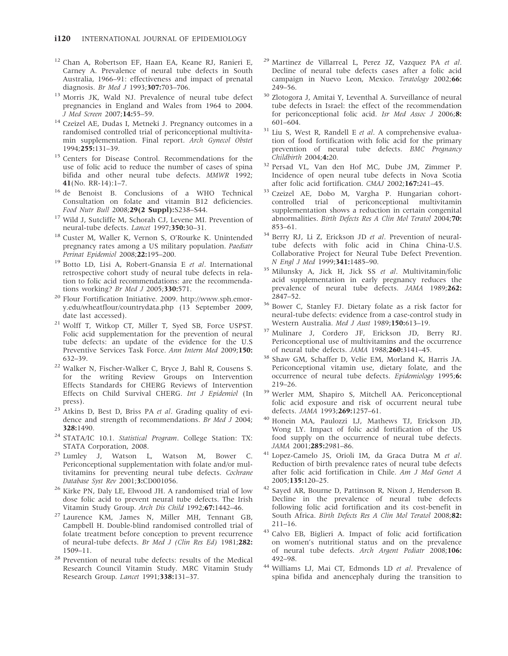- <sup>12</sup> Chan A, Robertson EF, Haan EA, Keane RJ, Ranieri E, Carney A. Prevalence of neural tube defects in South Australia, 1966–91: effectiveness and impact of prenatal diagnosis. Br Med J 1993;307:703–706.
- <sup>13</sup> Morris JK, Wald NJ. Prevalence of neural tube defect pregnancies in England and Wales from 1964 to 2004. J Med Screen 2007;14:55–59.
- <sup>14</sup> Czeizel AE, Dudas I, Metneki J. Pregnancy outcomes in a randomised controlled trial of periconceptional multivitamin supplementation. Final report. Arch Gynecol Obstet 1994;255:131–39.
- <sup>15</sup> Centers for Disease Control. Recommendations for the use of folic acid to reduce the number of cases of spina bifida and other neural tube defects. MMWR 1992; 41(No. RR-14):1–7.
- <sup>16</sup> de Benoist B. Conclusions of a WHO Technical Consultation on folate and vitamin B12 deficiencies. Food Nutr Bull 2008;29(2 Suppl):S238–S44.
- <sup>17</sup> Wild J, Sutcliffe M, Schorah CJ, Levene MI. Prevention of neural-tube defects. Lancet 1997;350:30–31.
- <sup>18</sup> Custer M, Waller K, Vernon S, O'Rourke K. Unintended pregnancy rates among a US military population. Paediatr Perinat Epidemiol 2008;22:195–200.
- <sup>19</sup> Botto LD, Lisi A, Robert-Gnansia E et al. International retrospective cohort study of neural tube defects in relation to folic acid recommendations: are the recommendations working? Br Med J 2005;330:571.
- <sup>20</sup> Flour Fortification Initiative. 2009. http://www.sph.emor[y.edu/wheatflour/countrydata.php \(13 September 2009,](http://www.sph.emory.edu/wheatflour/countrydata.php) date last accessed).
- <sup>21</sup> Wolff T, Witkop CT, Miller T, Syed SB, Force USPST. Folic acid supplementation for the prevention of neural tube defects: an update of the evidence for the U.S Preventive Services Task Force. Ann Intern Med 2009;150: 632–39.
- <sup>22</sup> Walker N, Fischer-Walker C, Bryce J, Bahl R, Cousens S. for the writing Review Groups on Intervention Effects Standards for CHERG Reviews of Intervention Effects on Child Survival CHERG. Int J Epidemiol (In press).
- $23$  Atkins D, Best D, Briss PA et al. Grading quality of evidence and strength of recommendations. Br Med J 2004; 328:1490.
- <sup>24</sup> STATA/IC 10.1. Statistical Program. College Station: TX: STATA Corporation, 2008.
- <sup>25</sup> Lumley J, Watson L, Watson M, Bower C. Periconceptional supplementation with folate and/or multivitamins for preventing neural tube defects. Cochrane Database Syst Rev 2001;3:CD001056.
- <sup>26</sup> Kirke PN, Daly LE, Elwood JH. A randomised trial of low dose folic acid to prevent neural tube defects. The Irish Vitamin Study Group. Arch Dis Child 1992;67:1442–46.
- <sup>27</sup> Laurence KM, James N, Miller MH, Tennant GB, Campbell H. Double-blind randomised controlled trial of folate treatment before conception to prevent recurrence of neural-tube defects. Br Med J (Clin Res Ed) 1981;282: 1509–11.
- <sup>28</sup> Prevention of neural tube defects: results of the Medical Research Council Vitamin Study. MRC Vitamin Study Research Group. Lancet 1991;338:131–37.
- <sup>29</sup> Martinez de Villarreal L, Perez JZ, Vazquez PA et al. Decline of neural tube defects cases after a folic acid campaign in Nuevo Leon, Mexico. Teratology 2002;66: 249–56.
- <sup>30</sup> Zlotogora J, Amitai Y, Leventhal A. Surveillance of neural tube defects in Israel: the effect of the recommendation for periconceptional folic acid. Isr Med Assoc J 2006;8: 601–604.
- $31$  Liu S, West R, Randell E et al. A comprehensive evaluation of food fortification with folic acid for the primary prevention of neural tube defects. BMC Pregnancy Childbirth 2004;4:20.
- <sup>32</sup> Persad VL, Van den Hof MC, Dube JM, Zimmer P. Incidence of open neural tube defects in Nova Scotia after folic acid fortification. CMAJ 2002;167:241–45.
- <sup>33</sup> Czeizel AE, Dobo M, Vargha P. Hungarian cohortcontrolled trial of periconceptional multivitamin supplementation shows a reduction in certain congenital abnormalities. Birth Defects Res A Clin Mol Teratol 2004;70: 853–61.
- <sup>34</sup> Berry RJ, Li Z, Erickson JD et al. Prevention of neuraltube defects with folic acid in China China-U.S. Collaborative Project for Neural Tube Defect Prevention. N Engl J Med 1999;341:1485–90.
- <sup>35</sup> Milunsky A, Jick H, Jick SS et al. Multivitamin/folic acid supplementation in early pregnancy reduces the prevalence of neural tube defects. JAMA 1989;262: 2847–52.
- <sup>36</sup> Bower C, Stanley FJ. Dietary folate as a risk factor for neural-tube defects: evidence from a case-control study in Western Australia. Med J Aust 1989;150:613–19.
- <sup>37</sup> Mulinare J, Cordero JF, Erickson JD, Berry RJ. Periconceptional use of multivitamins and the occurrence of neural tube defects. JAMA 1988;260:3141–45.
- <sup>38</sup> Shaw GM, Schaffer D, Velie EM, Morland K, Harris JA. Periconceptional vitamin use, dietary folate, and the occurrence of neural tube defects. Epidemiology 1995;6: 219–26.
- <sup>39</sup> Werler MM, Shapiro S, Mitchell AA. Periconceptional folic acid exposure and risk of occurrent neural tube defects. JAMA 1993;269:1257–61.
- <sup>40</sup> Honein MA, Paulozzi LJ, Mathews TJ, Erickson JD, Wong LY. Impact of folic acid fortification of the US food supply on the occurrence of neural tube defects. JAMA 2001;285:2981–86.
- <sup>41</sup> Lopez-Camelo JS, Orioli IM, da Graca Dutra M et al. Reduction of birth prevalence rates of neural tube defects after folic acid fortification in Chile. Am J Med Genet A 2005;135:120–25.
- <sup>42</sup> Sayed AR, Bourne D, Pattinson R, Nixon J, Henderson B. Decline in the prevalence of neural tube defects following folic acid fortification and its cost-benefit in South Africa. Birth Defects Res A Clin Mol Teratol 2008;82: 211–16.
- <sup>43</sup> Calvo EB, Biglieri A. Impact of folic acid fortification on women's nutritional status and on the prevalence of neural tube defects. Arch Argent Pediatr 2008;106: 492–98.
- <sup>44</sup> Williams LJ, Mai CT, Edmonds LD et al. Prevalence of spina bifida and anencephaly during the transition to